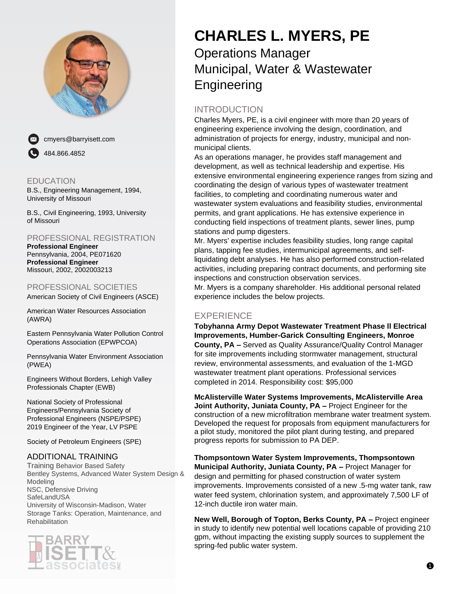



cmyers@barryisett.com 484.866.4852

### EDUCATION

B.S., Engineering Management, 1994, University of Missouri

B.S., Civil Engineering, 1993, University of Missouri

### PROFESSIONAL REGISTRATION

**Professional Engineer** Pennsylvania, 2004, PE071620 **Professional Engineer** Missouri, 2002, 2002003213

### PROFESSIONAL SOCIETIES

American Society of Civil Engineers (ASCE)

American Water Resources Association (AWRA)

Eastern Pennsylvania Water Pollution Control Operations Association (EPWPCOA)

Pennsylvania Water Environment Association (PWEA)

Engineers Without Borders, Lehigh Valley Professionals Chapter (EWB)

National Society of Professional Engineers/Pennsylvania Society of Professional Engineers (NSPE/PSPE) 2019 Engineer of the Year, LV PSPE

Society of Petroleum Engineers (SPE)

#### ADDITIONAL TRAINING

Training Behavior Based Safety Bentley Systems, Advanced Water System Design & Modeling NSC, Defensive Driving **SafeLandUSA** University of Wisconsin-Madison, Water Storage Tanks: Operation, Maintenance, and **Rehabilitation** 



# **CHARLES L. MYERS, PE**

# Operations Manager Municipal, Water & Wastewater **Engineering**

# INTRODUCTION

Charles Myers, PE, is a civil engineer with more than 20 years of engineering experience involving the design, coordination, and administration of projects for energy, industry, municipal and nonmunicipal clients.

As an operations manager, he provides staff management and development, as well as technical leadership and expertise. His extensive environmental engineering experience ranges from sizing and coordinating the design of various types of wastewater treatment facilities, to completing and coordinating numerous water and wastewater system evaluations and feasibility studies, environmental permits, and grant applications. He has extensive experience in conducting field inspections of treatment plants, sewer lines, pump stations and pump digesters.

Mr. Myers' expertise includes feasibility studies, long range capital plans, tapping fee studies, intermunicipal agreements, and selfliquidating debt analyses. He has also performed construction-related activities, including preparing contract documents, and performing site inspections and construction observation services.

Mr. Myers is a company shareholder. His additional personal related experience includes the below projects.

## EXPERIENCE

**Tobyhanna Army Depot Wastewater Treatment Phase ll Electrical Improvements, Humber-Garick Consulting Engineers, Monroe County, PA –** Served as Quality Assurance/Quality Control Manager for site improvements including stormwater management, structural review, environmental assessments, and evaluation of the 1-MGD wastewater treatment plant operations. Professional services completed in 2014. Responsibility cost: \$95,000

**McAlisterville Water Systems Improvements, McAlisterville Area Joint Authority, Juniata County, PA –** Project Engineer for the construction of a new microfiltration membrane water treatment system. Developed the request for proposals from equipment manufacturers for a pilot study, monitored the pilot plant during testing, and prepared progress reports for submission to PA DEP.

**Thompsontown Water System Improvements, Thompsontown Municipal Authority, Juniata County, PA –** Project Manager for design and permitting for phased construction of water system improvements. Improvements consisted of a new .5-mg water tank, raw water feed system, chlorination system, and approximately 7,500 LF of 12-inch ductile iron water main.

**New Well, Borough of Topton, Berks County, PA –** Project engineer in study to identify new potential well locations capable of providing 210 gpm, without impacting the existing supply sources to supplement the spring-fed public water system.